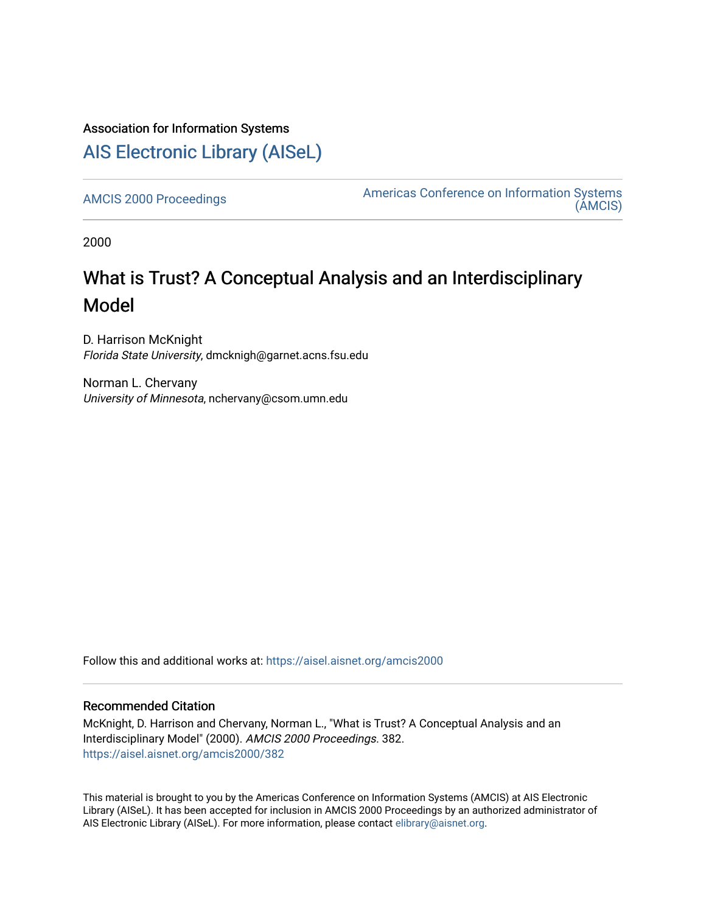# Association for Information Systems

# [AIS Electronic Library \(AISeL\)](https://aisel.aisnet.org/)

[AMCIS 2000 Proceedings](https://aisel.aisnet.org/amcis2000) **Americas Conference on Information Systems** [\(AMCIS\)](https://aisel.aisnet.org/amcis) 

2000

# What is Trust? A Conceptual Analysis and an Interdisciplinary Model

D. Harrison McKnight Florida State University, dmcknigh@garnet.acns.fsu.edu

Norman L. Chervany University of Minnesota, nchervany@csom.umn.edu

Follow this and additional works at: [https://aisel.aisnet.org/amcis2000](https://aisel.aisnet.org/amcis2000?utm_source=aisel.aisnet.org%2Famcis2000%2F382&utm_medium=PDF&utm_campaign=PDFCoverPages) 

## Recommended Citation

McKnight, D. Harrison and Chervany, Norman L., "What is Trust? A Conceptual Analysis and an Interdisciplinary Model" (2000). AMCIS 2000 Proceedings. 382. [https://aisel.aisnet.org/amcis2000/382](https://aisel.aisnet.org/amcis2000/382?utm_source=aisel.aisnet.org%2Famcis2000%2F382&utm_medium=PDF&utm_campaign=PDFCoverPages) 

This material is brought to you by the Americas Conference on Information Systems (AMCIS) at AIS Electronic Library (AISeL). It has been accepted for inclusion in AMCIS 2000 Proceedings by an authorized administrator of AIS Electronic Library (AISeL). For more information, please contact [elibrary@aisnet.org](mailto:elibrary@aisnet.org%3E).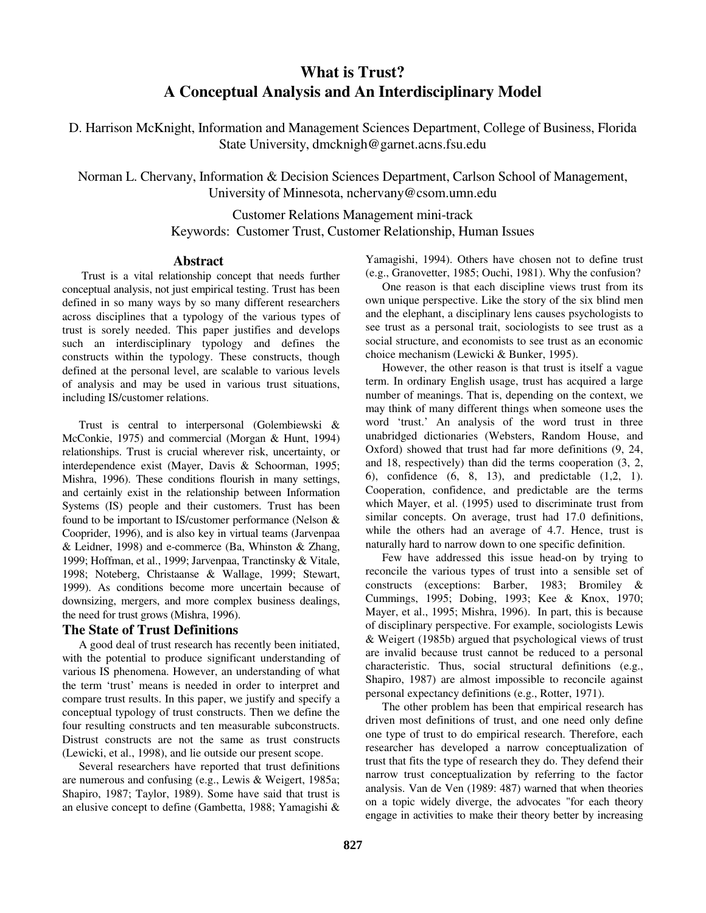# **What is Trust? A Conceptual Analysis and An Interdisciplinary Model**

D. Harrison McKnight, Information and Management Sciences Department, College of Business, Florida State University, dmcknigh@garnet.acns.fsu.edu

Norman L. Chervany, Information & Decision Sciences Department, Carlson School of Management, University of Minnesota, nchervany@csom.umn.edu

> Customer Relations Management mini-track Keywords: Customer Trust, Customer Relationship, Human Issues

#### **Abstract**

 Trust is a vital relationship concept that needs further conceptual analysis, not just empirical testing. Trust has been defined in so many ways by so many different researchers across disciplines that a typology of the various types of trust is sorely needed. This paper justifies and develops such an interdisciplinary typology and defines the constructs within the typology. These constructs, though defined at the personal level, are scalable to various levels of analysis and may be used in various trust situations, including IS/customer relations.

Trust is central to interpersonal (Golembiewski & McConkie, 1975) and commercial (Morgan & Hunt, 1994) relationships. Trust is crucial wherever risk, uncertainty, or interdependence exist (Mayer, Davis & Schoorman, 1995; Mishra, 1996). These conditions flourish in many settings, and certainly exist in the relationship between Information Systems (IS) people and their customers. Trust has been found to be important to IS/customer performance (Nelson & Cooprider, 1996), and is also key in virtual teams (Jarvenpaa & Leidner, 1998) and e-commerce (Ba, Whinston & Zhang, 1999; Hoffman, et al., 1999; Jarvenpaa, Tranctinsky & Vitale, 1998; Noteberg, Christaanse & Wallage, 1999; Stewart, 1999). As conditions become more uncertain because of downsizing, mergers, and more complex business dealings, the need for trust grows (Mishra, 1996).

### **The State of Trust Definitions**

A good deal of trust research has recently been initiated, with the potential to produce significant understanding of various IS phenomena. However, an understanding of what the term 'trust' means is needed in order to interpret and compare trust results. In this paper, we justify and specify a conceptual typology of trust constructs. Then we define the four resulting constructs and ten measurable subconstructs. Distrust constructs are not the same as trust constructs (Lewicki, et al., 1998), and lie outside our present scope.

Several researchers have reported that trust definitions are numerous and confusing (e.g., Lewis & Weigert, 1985a; Shapiro, 1987; Taylor, 1989). Some have said that trust is an elusive concept to define (Gambetta, 1988; Yamagishi & Yamagishi, 1994). Others have chosen not to define trust (e.g., Granovetter, 1985; Ouchi, 1981). Why the confusion?

One reason is that each discipline views trust from its own unique perspective. Like the story of the six blind men and the elephant, a disciplinary lens causes psychologists to see trust as a personal trait, sociologists to see trust as a social structure, and economists to see trust as an economic choice mechanism (Lewicki & Bunker, 1995).

However, the other reason is that trust is itself a vague term. In ordinary English usage, trust has acquired a large number of meanings. That is, depending on the context, we may think of many different things when someone uses the word 'trust.' An analysis of the word trust in three unabridged dictionaries (Websters, Random House, and Oxford) showed that trust had far more definitions (9, 24, and 18, respectively) than did the terms cooperation (3, 2, 6), confidence (6, 8, 13), and predictable (1,2, 1). Cooperation, confidence, and predictable are the terms which Mayer, et al. (1995) used to discriminate trust from similar concepts. On average, trust had 17.0 definitions, while the others had an average of 4.7. Hence, trust is naturally hard to narrow down to one specific definition.

Few have addressed this issue head-on by trying to reconcile the various types of trust into a sensible set of constructs (exceptions: Barber, 1983; Bromiley & Cummings, 1995; Dobing, 1993; Kee & Knox, 1970; Mayer, et al., 1995; Mishra, 1996). In part, this is because of disciplinary perspective. For example, sociologists Lewis & Weigert (1985b) argued that psychological views of trust are invalid because trust cannot be reduced to a personal characteristic. Thus, social structural definitions (e.g., Shapiro, 1987) are almost impossible to reconcile against personal expectancy definitions (e.g., Rotter, 1971).

The other problem has been that empirical research has driven most definitions of trust, and one need only define one type of trust to do empirical research. Therefore, each researcher has developed a narrow conceptualization of trust that fits the type of research they do. They defend their narrow trust conceptualization by referring to the factor analysis. Van de Ven (1989: 487) warned that when theories on a topic widely diverge, the advocates "for each theory engage in activities to make their theory better by increasing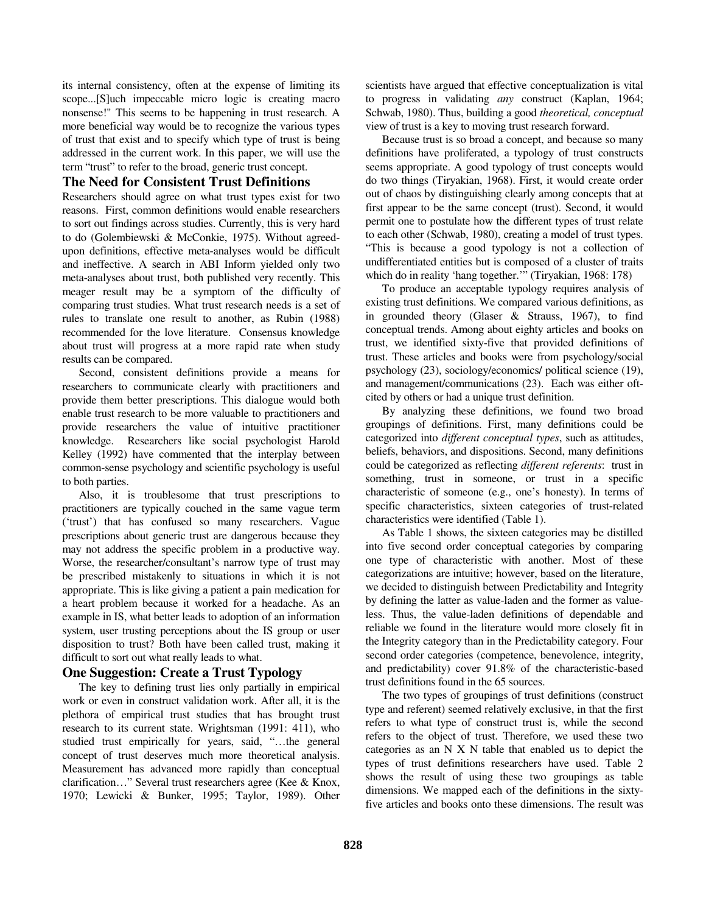its internal consistency, often at the expense of limiting its scope...[S]uch impeccable micro logic is creating macro nonsense!" This seems to be happening in trust research. A more beneficial way would be to recognize the various types of trust that exist and to specify which type of trust is being addressed in the current work. In this paper, we will use the term "trust" to refer to the broad, generic trust concept.

### **The Need for Consistent Trust Definitions**

Researchers should agree on what trust types exist for two reasons. First, common definitions would enable researchers to sort out findings across studies. Currently, this is very hard to do (Golembiewski & McConkie, 1975). Without agreedupon definitions, effective meta-analyses would be difficult and ineffective. A search in ABI Inform yielded only two meta-analyses about trust, both published very recently. This meager result may be a symptom of the difficulty of comparing trust studies. What trust research needs is a set of rules to translate one result to another, as Rubin (1988) recommended for the love literature. Consensus knowledge about trust will progress at a more rapid rate when study results can be compared.

Second, consistent definitions provide a means for researchers to communicate clearly with practitioners and provide them better prescriptions. This dialogue would both enable trust research to be more valuable to practitioners and provide researchers the value of intuitive practitioner knowledge. Researchers like social psychologist Harold Kelley (1992) have commented that the interplay between common-sense psychology and scientific psychology is useful to both parties.

Also, it is troublesome that trust prescriptions to practitioners are typically couched in the same vague term ('trust') that has confused so many researchers. Vague prescriptions about generic trust are dangerous because they may not address the specific problem in a productive way. Worse, the researcher/consultant's narrow type of trust may be prescribed mistakenly to situations in which it is not appropriate. This is like giving a patient a pain medication for a heart problem because it worked for a headache. As an example in IS, what better leads to adoption of an information system, user trusting perceptions about the IS group or user disposition to trust? Both have been called trust, making it difficult to sort out what really leads to what.

# **One Suggestion: Create a Trust Typology**

The key to defining trust lies only partially in empirical work or even in construct validation work. After all, it is the plethora of empirical trust studies that has brought trust research to its current state. Wrightsman (1991: 411), who studied trust empirically for years, said, "…the general concept of trust deserves much more theoretical analysis. Measurement has advanced more rapidly than conceptual clarification…" Several trust researchers agree (Kee & Knox, 1970; Lewicki & Bunker, 1995; Taylor, 1989). Other scientists have argued that effective conceptualization is vital to progress in validating *any* construct (Kaplan, 1964; Schwab, 1980). Thus, building a good *theoretical, conceptual* view of trust is a key to moving trust research forward.

Because trust is so broad a concept, and because so many definitions have proliferated, a typology of trust constructs seems appropriate. A good typology of trust concepts would do two things (Tiryakian, 1968). First, it would create order out of chaos by distinguishing clearly among concepts that at first appear to be the same concept (trust). Second, it would permit one to postulate how the different types of trust relate to each other (Schwab, 1980), creating a model of trust types. "This is because a good typology is not a collection of undifferentiated entities but is composed of a cluster of traits which do in reality 'hang together.'" (Tiryakian, 1968: 178)

To produce an acceptable typology requires analysis of existing trust definitions. We compared various definitions, as in grounded theory (Glaser & Strauss, 1967), to find conceptual trends. Among about eighty articles and books on trust, we identified sixty-five that provided definitions of trust. These articles and books were from psychology/social psychology (23), sociology/economics/ political science (19), and management/communications (23). Each was either oftcited by others or had a unique trust definition.

By analyzing these definitions, we found two broad groupings of definitions. First, many definitions could be categorized into *different conceptual types*, such as attitudes, beliefs, behaviors, and dispositions. Second, many definitions could be categorized as reflecting *different referents*: trust in something, trust in someone, or trust in a specific characteristic of someone (e.g., one's honesty). In terms of specific characteristics, sixteen categories of trust-related characteristics were identified (Table 1).

As Table 1 shows, the sixteen categories may be distilled into five second order conceptual categories by comparing one type of characteristic with another. Most of these categorizations are intuitive; however, based on the literature, we decided to distinguish between Predictability and Integrity by defining the latter as value-laden and the former as valueless. Thus, the value-laden definitions of dependable and reliable we found in the literature would more closely fit in the Integrity category than in the Predictability category. Four second order categories (competence, benevolence, integrity, and predictability) cover 91.8% of the characteristic-based trust definitions found in the 65 sources.

The two types of groupings of trust definitions (construct type and referent) seemed relatively exclusive, in that the first refers to what type of construct trust is, while the second refers to the object of trust. Therefore, we used these two categories as an N X N table that enabled us to depict the types of trust definitions researchers have used. Table 2 shows the result of using these two groupings as table dimensions. We mapped each of the definitions in the sixtyfive articles and books onto these dimensions. The result was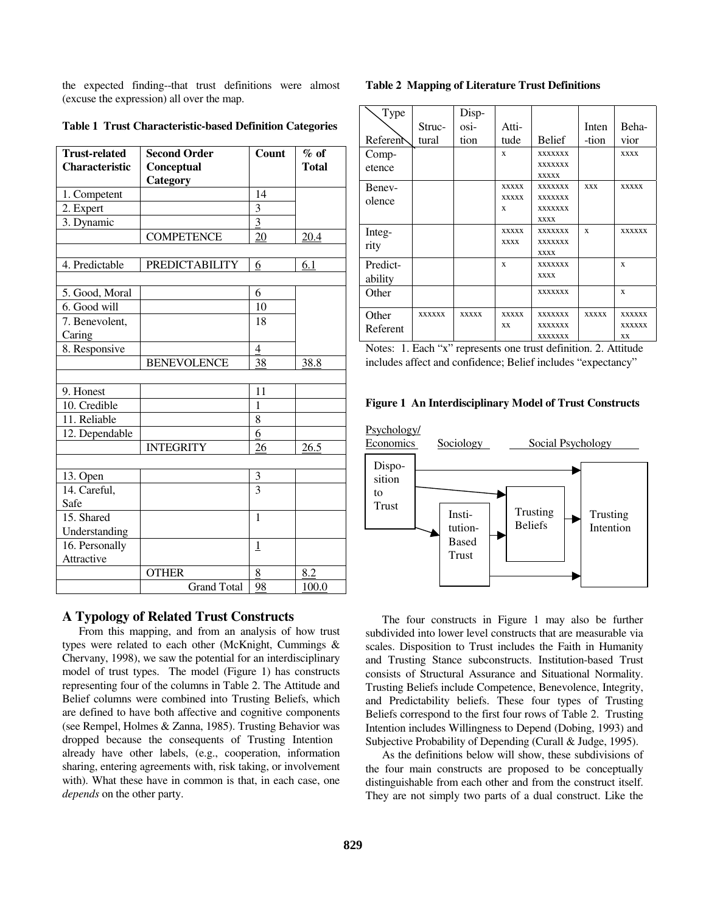the expected finding--that trust definitions were almost (excuse the expression) all over the map.

**Table 1 Trust Characteristic-based Definition Categories**

| <b>Trust-related</b><br><b>Characteristic</b> | <b>Second Order</b><br>Conceptual | Count          | $%$ of<br><b>Total</b> |
|-----------------------------------------------|-----------------------------------|----------------|------------------------|
|                                               | Category                          |                |                        |
| 1. Competent                                  |                                   | 14             |                        |
| 2. Expert                                     |                                   | 3              |                        |
| 3. Dynamic                                    |                                   | $\overline{3}$ |                        |
|                                               | <b>COMPETENCE</b>                 | 20             | 20.4                   |
|                                               |                                   |                |                        |
| 4. Predictable                                | <b>PREDICTABILITY</b>             | 6              | 6.1                    |
|                                               |                                   |                |                        |
| 5. Good, Moral                                |                                   | 6              |                        |
| 6. Good will                                  |                                   | 10             |                        |
| 7. Benevolent,                                |                                   | 18             |                        |
| Caring                                        |                                   |                |                        |
| 8. Responsive                                 |                                   | $\overline{4}$ |                        |
|                                               | <b>BENEVOLENCE</b>                | 38             | 38.8                   |
|                                               |                                   |                |                        |
| 9. Honest                                     |                                   | 11             |                        |
| 10. Credible                                  |                                   | 1              |                        |
| 11. Reliable                                  |                                   | 8              |                        |
| 12. Dependable                                |                                   | 6              |                        |
|                                               | <b>INTEGRITY</b>                  | 26             | 26.5                   |
|                                               |                                   |                |                        |
| 13. Open                                      |                                   | 3              |                        |
| 14. Careful,                                  |                                   | $\overline{3}$ |                        |
| Safe                                          |                                   |                |                        |
| 15. Shared                                    |                                   | 1              |                        |
| Understanding                                 |                                   |                |                        |
| 16. Personally                                |                                   | $\overline{1}$ |                        |
| Attractive                                    |                                   |                |                        |
|                                               | <b>OTHER</b>                      | 8              | 8.2                    |
|                                               | <b>Grand Total</b>                | 98             | 100.0                  |

#### **A Typology of Related Trust Constructs**

From this mapping, and from an analysis of how trust types were related to each other (McKnight, Cummings & Chervany, 1998), we saw the potential for an interdisciplinary model of trust types. The model (Figure 1) has constructs representing four of the columns in Table 2. The Attitude and Belief columns were combined into Trusting Beliefs, which are defined to have both affective and cognitive components (see Rempel, Holmes & Zanna, 1985). Trusting Behavior was dropped because the consequents of Trusting Intention already have other labels, (e.g., cooperation, information sharing, entering agreements with, risk taking, or involvement with). What these have in common is that, in each case, one *depends* on the other party.

#### **Table 2 Mapping of Literature Trust Definitions**

| Type     |               | Disp-          |              |                |              |               |
|----------|---------------|----------------|--------------|----------------|--------------|---------------|
|          | Struc-        | $\overline{0}$ | Atti-        |                | Inten        | Beha-         |
| Referent | tural         | tion           | tude         | <b>Belief</b>  | -tion        | vior          |
| Comp-    |               |                | X            | <b>XXXXXXX</b> |              | <b>XXXX</b>   |
| etence   |               |                |              | <b>XXXXXXX</b> |              |               |
|          |               |                |              | <b>XXXXX</b>   |              |               |
| Beney-   |               |                | <b>XXXXX</b> | <b>XXXXXXX</b> | <b>XXX</b>   | <b>XXXXX</b>  |
| olence   |               |                | <b>XXXXX</b> | <b>XXXXXXX</b> |              |               |
|          |               |                | X            | <b>XXXXXXX</b> |              |               |
|          |               |                |              | <b>XXXX</b>    |              |               |
| Integ-   |               |                | <b>XXXXX</b> | <b>XXXXXXX</b> | X            | <b>XXXXXX</b> |
| rity     |               |                | <b>XXXX</b>  | <b>XXXXXXX</b> |              |               |
|          |               |                |              | <b>XXXX</b>    |              |               |
| Predict- |               |                | X            | <b>XXXXXXX</b> |              | X             |
| ability  |               |                |              | <b>XXXX</b>    |              |               |
| Other    |               |                |              | <b>XXXXXXX</b> |              | X             |
|          |               |                |              |                |              |               |
| Other    | <b>XXXXXX</b> | <b>XXXXX</b>   | <b>XXXXX</b> | <b>XXXXXXX</b> | <b>XXXXX</b> | <b>XXXXXX</b> |
| Referent |               |                | XX           | <b>XXXXXXX</b> |              | <b>XXXXXX</b> |
|          |               |                |              | <b>XXXXXXX</b> |              | XX            |

Notes: 1. Each "x" represents one trust definition. 2. Attitude includes affect and confidence; Belief includes "expectancy"





The four constructs in Figure 1 may also be further subdivided into lower level constructs that are measurable via scales. Disposition to Trust includes the Faith in Humanity and Trusting Stance subconstructs. Institution-based Trust consists of Structural Assurance and Situational Normality. Trusting Beliefs include Competence, Benevolence, Integrity, and Predictability beliefs. These four types of Trusting Beliefs correspond to the first four rows of Table 2. Trusting Intention includes Willingness to Depend (Dobing, 1993) and Subjective Probability of Depending (Curall & Judge, 1995).

As the definitions below will show, these subdivisions of the four main constructs are proposed to be conceptually distinguishable from each other and from the construct itself. They are not simply two parts of a dual construct. Like the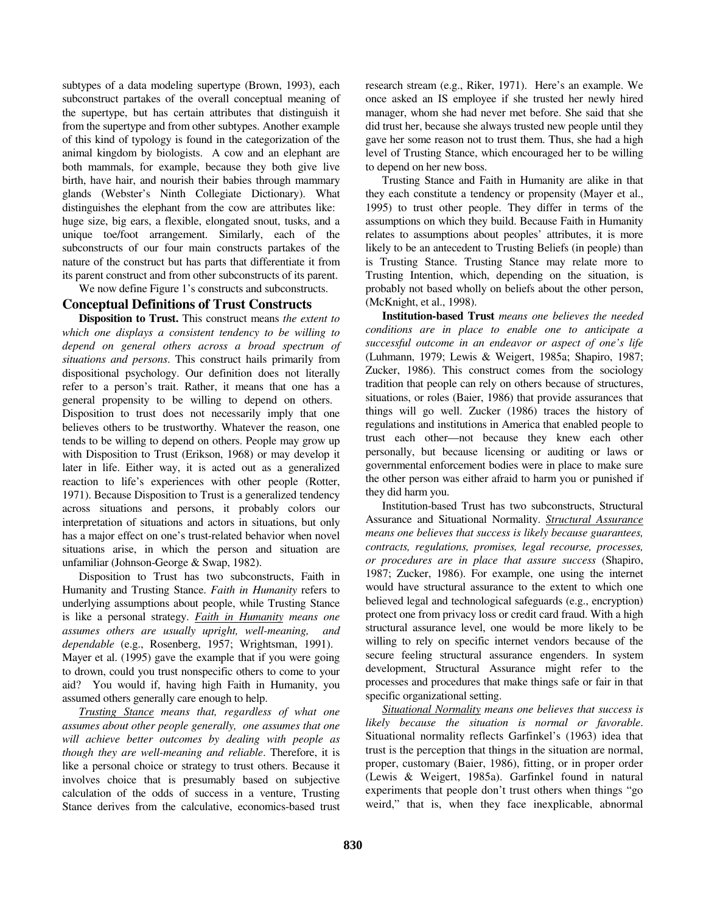subtypes of a data modeling supertype (Brown, 1993), each subconstruct partakes of the overall conceptual meaning of the supertype, but has certain attributes that distinguish it from the supertype and from other subtypes. Another example of this kind of typology is found in the categorization of the animal kingdom by biologists. A cow and an elephant are both mammals, for example, because they both give live birth, have hair, and nourish their babies through mammary glands (Webster's Ninth Collegiate Dictionary). What distinguishes the elephant from the cow are attributes like: huge size, big ears, a flexible, elongated snout, tusks, and a unique toe/foot arrangement. Similarly, each of the subconstructs of our four main constructs partakes of the nature of the construct but has parts that differentiate it from its parent construct and from other subconstructs of its parent.

We now define Figure 1's constructs and subconstructs.

# **Conceptual Definitions of Trust Constructs**

**Disposition to Trust.** This construct means *the extent to which one displays a consistent tendency to be willing to depend on general others across a broad spectrum of situations and persons*. This construct hails primarily from dispositional psychology. Our definition does not literally refer to a person's trait. Rather, it means that one has a general propensity to be willing to depend on others. Disposition to trust does not necessarily imply that one believes others to be trustworthy. Whatever the reason, one tends to be willing to depend on others. People may grow up with Disposition to Trust (Erikson, 1968) or may develop it later in life. Either way, it is acted out as a generalized reaction to life's experiences with other people (Rotter, 1971). Because Disposition to Trust is a generalized tendency across situations and persons, it probably colors our interpretation of situations and actors in situations, but only has a major effect on one's trust-related behavior when novel situations arise, in which the person and situation are unfamiliar (Johnson-George & Swap, 1982).

Disposition to Trust has two subconstructs, Faith in Humanity and Trusting Stance. *Faith in Humanity* refers to underlying assumptions about people, while Trusting Stance is like a personal strategy. *Faith in Humanity means one assumes others are usually upright, well-meaning, and dependable* (e.g., Rosenberg, 1957; Wrightsman, 1991). Mayer et al. (1995) gave the example that if you were going to drown, could you trust nonspecific others to come to your aid? You would if, having high Faith in Humanity, you assumed others generally care enough to help.

*Trusting Stance means that, regardless of what one assumes about other people generally, one assumes that one will achieve better outcomes by dealing with people as though they are well-meaning and reliable*. Therefore, it is like a personal choice or strategy to trust others. Because it involves choice that is presumably based on subjective calculation of the odds of success in a venture, Trusting Stance derives from the calculative, economics-based trust research stream (e.g., Riker, 1971). Here's an example. We once asked an IS employee if she trusted her newly hired manager, whom she had never met before. She said that she did trust her, because she always trusted new people until they gave her some reason not to trust them. Thus, she had a high level of Trusting Stance, which encouraged her to be willing to depend on her new boss.

Trusting Stance and Faith in Humanity are alike in that they each constitute a tendency or propensity (Mayer et al., 1995) to trust other people. They differ in terms of the assumptions on which they build. Because Faith in Humanity relates to assumptions about peoples' attributes, it is more likely to be an antecedent to Trusting Beliefs (in people) than is Trusting Stance. Trusting Stance may relate more to Trusting Intention, which, depending on the situation, is probably not based wholly on beliefs about the other person, (McKnight, et al., 1998).

**Institution-based Trust** *means one believes the needed conditions are in place to enable one to anticipate a successful outcome in an endeavor or aspect of one's life* (Luhmann, 1979; Lewis & Weigert, 1985a; Shapiro, 1987; Zucker, 1986). This construct comes from the sociology tradition that people can rely on others because of structures, situations, or roles (Baier, 1986) that provide assurances that things will go well. Zucker (1986) traces the history of regulations and institutions in America that enabled people to trust each other—not because they knew each other personally, but because licensing or auditing or laws or governmental enforcement bodies were in place to make sure the other person was either afraid to harm you or punished if they did harm you.

Institution-based Trust has two subconstructs, Structural Assurance and Situational Normality. *Structural Assurance means one believes that success is likely because guarantees, contracts, regulations, promises, legal recourse, processes, or procedures are in place that assure success* (Shapiro, 1987; Zucker, 1986). For example, one using the internet would have structural assurance to the extent to which one believed legal and technological safeguards (e.g., encryption) protect one from privacy loss or credit card fraud. With a high structural assurance level, one would be more likely to be willing to rely on specific internet vendors because of the secure feeling structural assurance engenders. In system development, Structural Assurance might refer to the processes and procedures that make things safe or fair in that specific organizational setting.

*Situational Normality means one believes that success is likely because the situation is normal or favorable*. Situational normality reflects Garfinkel's (1963) idea that trust is the perception that things in the situation are normal, proper, customary (Baier, 1986), fitting, or in proper order (Lewis & Weigert, 1985a). Garfinkel found in natural experiments that people don't trust others when things "go weird," that is, when they face inexplicable, abnormal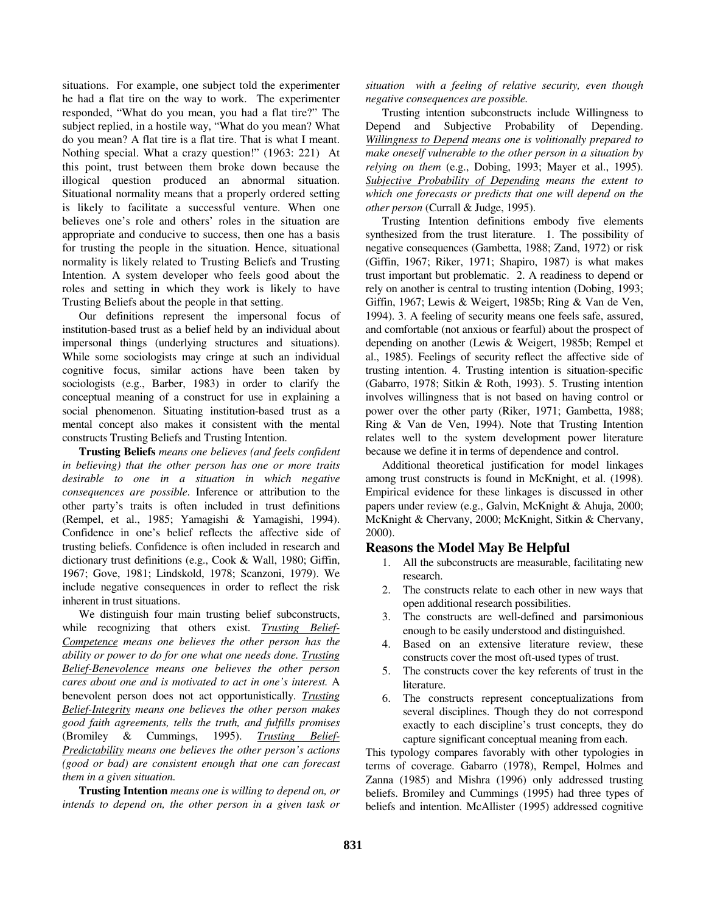situations. For example, one subject told the experimenter he had a flat tire on the way to work. The experimenter responded, "What do you mean, you had a flat tire?" The subject replied, in a hostile way, "What do you mean? What do you mean? A flat tire is a flat tire. That is what I meant. Nothing special. What a crazy question!" (1963: 221) At this point, trust between them broke down because the illogical question produced an abnormal situation. Situational normality means that a properly ordered setting is likely to facilitate a successful venture. When one believes one's role and others' roles in the situation are appropriate and conducive to success, then one has a basis for trusting the people in the situation. Hence, situational normality is likely related to Trusting Beliefs and Trusting Intention. A system developer who feels good about the roles and setting in which they work is likely to have Trusting Beliefs about the people in that setting.

Our definitions represent the impersonal focus of institution-based trust as a belief held by an individual about impersonal things (underlying structures and situations). While some sociologists may cringe at such an individual cognitive focus, similar actions have been taken by sociologists (e.g., Barber, 1983) in order to clarify the conceptual meaning of a construct for use in explaining a social phenomenon. Situating institution-based trust as a mental concept also makes it consistent with the mental constructs Trusting Beliefs and Trusting Intention.

**Trusting Beliefs** *means one believes (and feels confident in believing) that the other person has one or more traits desirable to one in a situation in which negative consequences are possible*. Inference or attribution to the other party's traits is often included in trust definitions (Rempel, et al., 1985; Yamagishi & Yamagishi, 1994). Confidence in one's belief reflects the affective side of trusting beliefs. Confidence is often included in research and dictionary trust definitions (e.g., Cook & Wall, 1980; Giffin, 1967; Gove, 1981; Lindskold, 1978; Scanzoni, 1979). We include negative consequences in order to reflect the risk inherent in trust situations.

We distinguish four main trusting belief subconstructs, while recognizing that others exist. *Trusting Belief-Competence means one believes the other person has the ability or power to do for one what one needs done. Trusting Belief-Benevolence means one believes the other person cares about one and is motivated to act in one's interest.* A benevolent person does not act opportunistically. *Trusting Belief-Integrity means one believes the other person makes good faith agreements, tells the truth, and fulfills promises* (Bromiley & Cummings, 1995). *Trusting Belief-Predictability means one believes the other person's actions (good or bad) are consistent enough that one can forecast them in a given situation.*

**Trusting Intention** *means one is willing to depend on, or intends to depend on, the other person in a given task or* *situation with a feeling of relative security, even though negative consequences are possible.*

Trusting intention subconstructs include Willingness to Depend and Subjective Probability of Depending. *Willingness to Depend means one is volitionally prepared to make oneself vulnerable to the other person in a situation by relying on them* (e.g., Dobing, 1993; Mayer et al., 1995). *Subjective Probability of Depending means the extent to which one forecasts or predicts that one will depend on the other person* (Currall & Judge, 1995).

Trusting Intention definitions embody five elements synthesized from the trust literature. 1. The possibility of negative consequences (Gambetta, 1988; Zand, 1972) or risk (Giffin, 1967; Riker, 1971; Shapiro, 1987) is what makes trust important but problematic. 2. A readiness to depend or rely on another is central to trusting intention (Dobing, 1993; Giffin, 1967; Lewis & Weigert, 1985b; Ring & Van de Ven, 1994). 3. A feeling of security means one feels safe, assured, and comfortable (not anxious or fearful) about the prospect of depending on another (Lewis & Weigert, 1985b; Rempel et al., 1985). Feelings of security reflect the affective side of trusting intention. 4. Trusting intention is situation-specific (Gabarro, 1978; Sitkin & Roth, 1993). 5. Trusting intention involves willingness that is not based on having control or power over the other party (Riker, 1971; Gambetta, 1988; Ring & Van de Ven, 1994). Note that Trusting Intention relates well to the system development power literature because we define it in terms of dependence and control.

Additional theoretical justification for model linkages among trust constructs is found in McKnight, et al. (1998). Empirical evidence for these linkages is discussed in other papers under review (e.g., Galvin, McKnight & Ahuja, 2000; McKnight & Chervany, 2000; McKnight, Sitkin & Chervany, 2000).

#### **Reasons the Model May Be Helpful**

- 1. All the subconstructs are measurable, facilitating new research.
- 2. The constructs relate to each other in new ways that open additional research possibilities.
- 3. The constructs are well-defined and parsimonious enough to be easily understood and distinguished.
- 4. Based on an extensive literature review, these constructs cover the most oft-used types of trust.
- 5. The constructs cover the key referents of trust in the literature.
- 6. The constructs represent conceptualizations from several disciplines. Though they do not correspond exactly to each discipline's trust concepts, they do capture significant conceptual meaning from each.

This typology compares favorably with other typologies in terms of coverage. Gabarro (1978), Rempel, Holmes and Zanna (1985) and Mishra (1996) only addressed trusting beliefs. Bromiley and Cummings (1995) had three types of beliefs and intention. McAllister (1995) addressed cognitive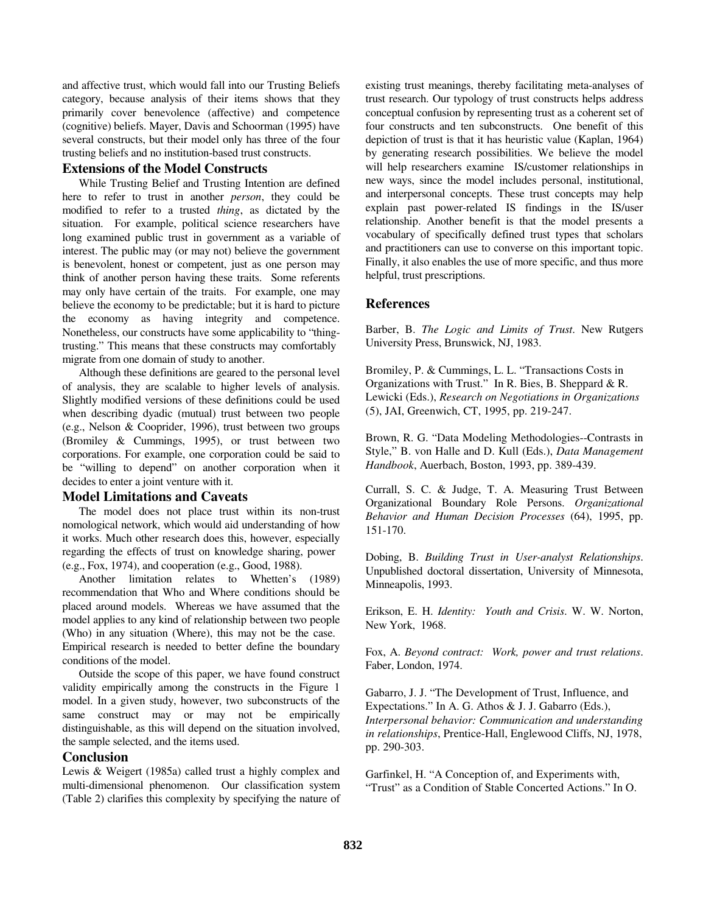and affective trust, which would fall into our Trusting Beliefs category, because analysis of their items shows that they primarily cover benevolence (affective) and competence (cognitive) beliefs. Mayer, Davis and Schoorman (1995) have several constructs, but their model only has three of the four trusting beliefs and no institution-based trust constructs.

#### **Extensions of the Model Constructs**

While Trusting Belief and Trusting Intention are defined here to refer to trust in another *person*, they could be modified to refer to a trusted *thing*, as dictated by the situation. For example, political science researchers have long examined public trust in government as a variable of interest. The public may (or may not) believe the government is benevolent, honest or competent, just as one person may think of another person having these traits. Some referents may only have certain of the traits. For example, one may believe the economy to be predictable; but it is hard to picture the economy as having integrity and competence. Nonetheless, our constructs have some applicability to "thingtrusting." This means that these constructs may comfortably migrate from one domain of study to another.

Although these definitions are geared to the personal level of analysis, they are scalable to higher levels of analysis. Slightly modified versions of these definitions could be used when describing dyadic (mutual) trust between two people (e.g., Nelson & Cooprider, 1996), trust between two groups (Bromiley & Cummings, 1995), or trust between two corporations. For example, one corporation could be said to be "willing to depend" on another corporation when it decides to enter a joint venture with it.

#### **Model Limitations and Caveats**

The model does not place trust within its non-trust nomological network, which would aid understanding of how it works. Much other research does this, however, especially regarding the effects of trust on knowledge sharing, power (e.g., Fox, 1974), and cooperation (e.g., Good, 1988).

Another limitation relates to Whetten's (1989) recommendation that Who and Where conditions should be placed around models. Whereas we have assumed that the model applies to any kind of relationship between two people (Who) in any situation (Where), this may not be the case. Empirical research is needed to better define the boundary conditions of the model.

Outside the scope of this paper, we have found construct validity empirically among the constructs in the Figure 1 model. In a given study, however, two subconstructs of the same construct may or may not be empirically distinguishable, as this will depend on the situation involved, the sample selected, and the items used.

#### **Conclusion**

Lewis & Weigert (1985a) called trust a highly complex and multi-dimensional phenomenon. Our classification system (Table 2) clarifies this complexity by specifying the nature of

existing trust meanings, thereby facilitating meta-analyses of trust research. Our typology of trust constructs helps address conceptual confusion by representing trust as a coherent set of four constructs and ten subconstructs. One benefit of this depiction of trust is that it has heuristic value (Kaplan, 1964) by generating research possibilities. We believe the model will help researchers examine IS/customer relationships in new ways, since the model includes personal, institutional, and interpersonal concepts. These trust concepts may help explain past power-related IS findings in the IS/user relationship. Another benefit is that the model presents a vocabulary of specifically defined trust types that scholars and practitioners can use to converse on this important topic. Finally, it also enables the use of more specific, and thus more helpful, trust prescriptions.

# **References**

Barber, B. *The Logic and Limits of Trust*. New Rutgers University Press, Brunswick, NJ, 1983.

Bromiley, P. & Cummings, L. L. "Transactions Costs in Organizations with Trust." In R. Bies, B. Sheppard & R. Lewicki (Eds.), *Research on Negotiations in Organizations* (5), JAI, Greenwich, CT, 1995, pp. 219-247.

Brown, R. G. "Data Modeling Methodologies--Contrasts in Style," B. von Halle and D. Kull (Eds.), *Data Management Handbook*, Auerbach, Boston, 1993, pp. 389-439.

Currall, S. C. & Judge, T. A. Measuring Trust Between Organizational Boundary Role Persons. *Organizational Behavior and Human Decision Processes* (64), 1995, pp. 151-170.

Dobing, B. *Building Trust in User-analyst Relationships*. Unpublished doctoral dissertation, University of Minnesota, Minneapolis, 1993.

Erikson, E. H. *Identity: Youth and Crisis*. W. W. Norton, New York, 1968.

Fox, A. *Beyond contract: Work, power and trust relations*. Faber, London, 1974.

Gabarro, J. J. "The Development of Trust, Influence, and Expectations." In A. G. Athos & J. J. Gabarro (Eds.), *Interpersonal behavior: Communication and understanding in relationships*, Prentice-Hall, Englewood Cliffs, NJ, 1978, pp. 290-303.

Garfinkel, H. "A Conception of, and Experiments with, "Trust" as a Condition of Stable Concerted Actions." In O.